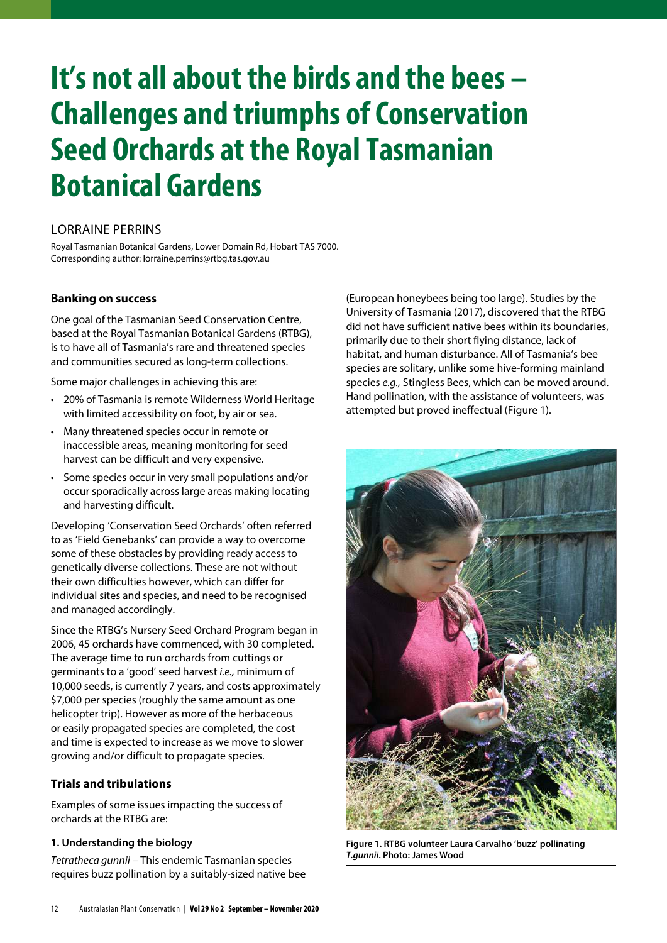# **It's not all about the birds and the bees – Challenges and triumphs of Conservation Seed Orchards at the Royal Tasmanian Botanical Gardens**

## LORRAINE PERRINS

Royal Tasmanian Botanical Gardens, Lower Domain Rd, Hobart TAS 7000. Corresponding author: lorraine.perrins@rtbg.tas.gov.au

## **Banking on success**

One goal of the Tasmanian Seed Conservation Centre, based at the Royal Tasmanian Botanical Gardens (RTBG), is to have all of Tasmania's rare and threatened species and communities secured as long-term collections.

Some major challenges in achieving this are:

- 20% of Tasmania is remote Wilderness World Heritage with limited accessibility on foot, by air or sea.
- Many threatened species occur in remote or inaccessible areas, meaning monitoring for seed harvest can be difficult and very expensive.
- Some species occur in very small populations and/or occur sporadically across large areas making locating and harvesting difficult.

Developing 'Conservation Seed Orchards' often referred to as 'Field Genebanks' can provide a way to overcome some of these obstacles by providing ready access to genetically diverse collections. These are not without their own difficulties however, which can differ for individual sites and species, and need to be recognised and managed accordingly.

Since the RTBG's Nursery Seed Orchard Program began in 2006, 45 orchards have commenced, with 30 completed. The average time to run orchards from cuttings or germinants to a 'good' seed harvest i.e., minimum of 10,000 seeds, is currently 7 years, and costs approximately \$7,000 per species (roughly the same amount as one helicopter trip). However as more of the herbaceous or easily propagated species are completed, the cost and time is expected to increase as we move to slower growing and/or difficult to propagate species.

## **Trials and tribulations**

Examples of some issues impacting the success of orchards at the RTBG are:

#### **1. Understanding the biology**

Tetratheca gunnii – This endemic Tasmanian species requires buzz pollination by a suitably-sized native bee

(European honeybees being too large). Studies by the University of Tasmania (2017), discovered that the RTBG did not have sufficient native bees within its boundaries, primarily due to their short flying distance, lack of habitat, and human disturbance. All of Tasmania's bee species are solitary, unlike some hive-forming mainland species e.g., Stingless Bees, which can be moved around. Hand pollination, with the assistance of volunteers, was attempted but proved ineffectual (Figure 1).



**Figure 1. RTBG volunteer Laura Carvalho 'buzz' pollinating T.gunnii. Photo: James Wood**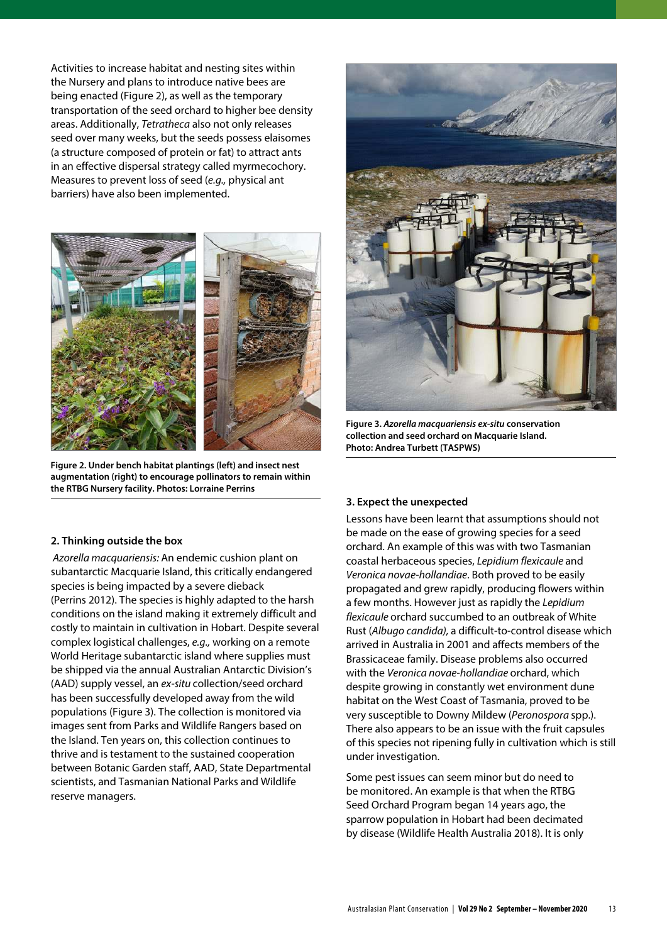Activities to increase habitat and nesting sites within the Nursery and plans to introduce native bees are being enacted (Figure 2), as well as the temporary transportation of the seed orchard to higher bee density areas. Additionally, Tetratheca also not only releases seed over many weeks, but the seeds possess elaisomes (a structure composed of protein or fat) to attract ants in an effective dispersal strategy called myrmecochory. Measures to prevent loss of seed (e.g., physical ant barriers) have also been implemented.



**Figure 2. Under bench habitat plantings (left) and insect nest augmentation (right) to encourage pollinators to remain within the RTBG Nursery facility. Photos: Lorraine Perrins**



**Figure 3. Azorella macquariensis ex-situ conservation collection and seed orchard on Macquarie Island. Photo: Andrea Turbett (TASPWS)**

#### **3. Expect the unexpected**

Lessons have been learnt that assumptions should not be made on the ease of growing species for a seed orchard. An example of this was with two Tasmanian coastal herbaceous species, Lepidium flexicaule and Veronica novae-hollandiae. Both proved to be easily propagated and grew rapidly, producing flowers within a few months. However just as rapidly the Lepidium flexicaule orchard succumbed to an outbreak of White Rust (Albugo candida), a difficult-to-control disease which arrived in Australia in 2001 and affects members of the Brassicaceae family. Disease problems also occurred with the Veronica novae-hollandiae orchard, which despite growing in constantly wet environment dune habitat on the West Coast of Tasmania, proved to be very susceptible to Downy Mildew (Peronospora spp.). There also appears to be an issue with the fruit capsules of this species not ripening fully in cultivation which is still under investigation.

Some pest issues can seem minor but do need to be monitored. An example is that when the RTBG Seed Orchard Program began 14 years ago, the sparrow population in Hobart had been decimated by disease (Wildlife Health Australia 2018). It is only

#### **2. Thinking outside the box**

 Azorella macquariensis: An endemic cushion plant on subantarctic Macquarie Island, this critically endangered species is being impacted by a severe dieback (Perrins 2012). The species is highly adapted to the harsh conditions on the island making it extremely difficult and costly to maintain in cultivation in Hobart. Despite several complex logistical challenges, e.g., working on a remote World Heritage subantarctic island where supplies must be shipped via the annual Australian Antarctic Division's (AAD) supply vessel, an ex-situ collection/seed orchard has been successfully developed away from the wild populations (Figure 3). The collection is monitored via images sent from Parks and Wildlife Rangers based on the Island. Ten years on, this collection continues to thrive and is testament to the sustained cooperation between Botanic Garden staff, AAD, State Departmental scientists, and Tasmanian National Parks and Wildlife reserve managers.